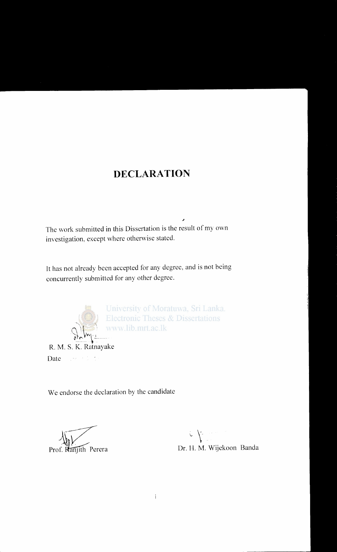### **DECLARATION**

The work submitted in this Dissertation is the result of my own investigation, except where otherwise stated.

It has not already been accepted for any degree, and is not being concurrently submitted for any other degree.



University of Moratuwa, Sri Lanka. Electronic Theses & Dissertations<br>www.lib.mrt.ac.lk

Date and the Date

We endorse the declaration by the candidate

J~~ Prof. Ranjith Perera

 $\mathcal{L} \neq$  $\mathcal{F}$ Dr. H. M. Wijekoon Banda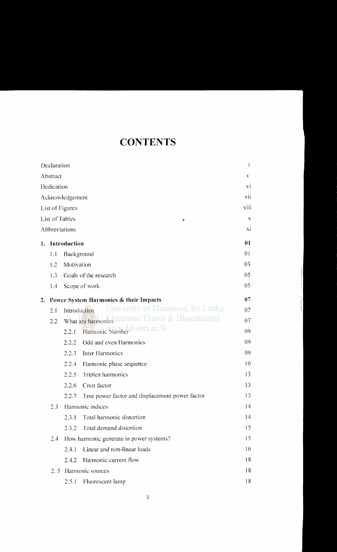# **CONTENTS**

|    | Declaration     |                 |                                                                 | $\mathbf{i}$ |
|----|-----------------|-----------------|-----------------------------------------------------------------|--------------|
|    | Abstract        |                 |                                                                 | V            |
|    | Dedication      |                 |                                                                 | vi           |
|    |                 | Acknowledgement |                                                                 | vii          |
|    |                 | List of Figures |                                                                 | viii         |
|    | List of Tables  |                 | ø                                                               | $\mathbf X$  |
|    |                 | Abbreviations   |                                                                 | xi           |
|    | 1. Introduction |                 |                                                                 | 01           |
|    | 1.1             | Background      |                                                                 | 01           |
|    | 1.2             | Motivation      |                                                                 | 03           |
|    | 1.3             |                 | Goals of the research                                           | 05           |
|    | 1.4             | Scope of work   |                                                                 | 05           |
| 2. |                 |                 | Power System Harmonics & their Impacts                          | 07           |
|    | 2.1             | Introduction    | University of Moratuwa, Sri Lanka.                              | 07           |
|    | 2.2             |                 | What are harmonics <sup>electronic</sup> Theses & Dissertations | 07           |
|    |                 | 2.2.1           | Harmonic Number <sup>1</sup> b.mrt.ac.lk                        | 09           |
|    |                 | 2.2.2           | Odd and even Harmonics                                          | 09           |
|    |                 | 2.2.3           | Inter Harmonics                                                 | 09           |
|    |                 | 2.2.4           | Harmonic phase sequence                                         | 10           |
|    |                 | 2.2.5           | Triplen harmonics                                               | 13           |
|    |                 | 2.2.6           | Crest factor                                                    | 13           |
|    |                 | 2.2.7           | True power factor and displacement power factor                 | 13           |
|    | 2.3             |                 | Harmonic indices                                                | 14           |
|    |                 | 2.3.1           | Total harmonic distortion                                       | 14           |
|    |                 | 2.3.2           | Total demand distortion                                         | 15           |
|    | 2.4             |                 | How harmonic generate in power systems?                         | 15           |
|    |                 | 2.4.1           | Linear and non-linear loads                                     | 16           |
|    |                 | 2.4.2           | Harmonic current flow                                           | 18           |
|    | 2.5             |                 | Harmonic sources                                                | 18           |
|    |                 | 2.5.1           | Fluorescent lamp                                                | 18           |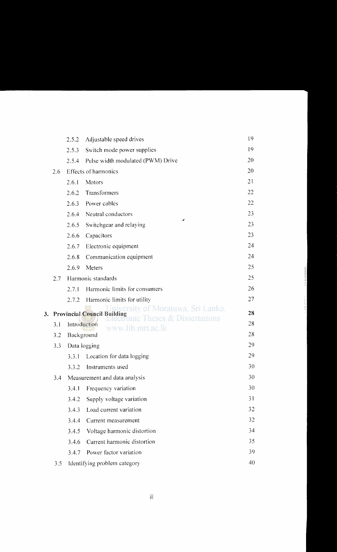|    |     | 2.5.2        | Adjustable speed drives                                                 | 19 |
|----|-----|--------------|-------------------------------------------------------------------------|----|
|    |     | 2.5.3        | Switch mode power supplies                                              | 19 |
|    |     | 2.5.4        | Pulse width modulated (PWM) Drive                                       | 20 |
|    | 2.6 |              | Effects of harmonics                                                    | 20 |
|    |     | 2.6.1        | Motors                                                                  | 21 |
|    |     | 2.6.2        | Transformers                                                            | 22 |
|    |     | 2.6.3        | Power cables                                                            | 22 |
|    |     | 2.6.4        | Neutral conductors                                                      | 23 |
|    |     | 2.6.5        | r<br>Switchgear and relaying                                            | 23 |
|    |     | 2.6.6        | Capacitors                                                              | 23 |
|    |     | 2.6.7        | Electronic equipment                                                    | 24 |
|    |     | 2.6.8        | Communication equipment                                                 | 24 |
|    |     | 2.6.9        | Meters                                                                  | 25 |
|    | 2.7 |              | Harmonic standards                                                      | 25 |
|    |     | 2.7.1        | Harmonic limits for consumers                                           | 26 |
|    |     | 2.7.2        | Harmonic limits for utility                                             | 27 |
| 3. |     |              | iiversity of Moratuwa, Sri Lanka.<br><b>Provincial Council Building</b> | 28 |
|    | 3.1 | Introduction | Theses & Dissertations                                                  | 28 |
|    | 3.2 | Background   | www.lib.mrt.ac.lk                                                       | 28 |
|    | 3.3 |              | Data logging                                                            | 29 |
|    |     | 3.3.1        | Location for data logging                                               | 29 |
|    |     | 3.3.2        | Instruments used                                                        | 30 |
|    | 3.4 |              | Measurement and data analysis                                           | 30 |
|    |     | 3.4.1        | Frequency variation                                                     | 30 |
|    |     | 3.4.2        | Supply voltage variation                                                | 31 |
|    |     | 3.4.3        | Load current variation                                                  | 32 |
|    |     | 3.4.4        | Current measurement                                                     | 32 |
|    |     | 3.4.5        | Voltage harmonic distortion                                             | 34 |
|    |     | 3.4.6        | Current harmonic distortion                                             | 35 |
|    |     | 3.4.7        | Power factor variation                                                  | 39 |
|    | 3.5 |              | Identifying problem category                                            | 40 |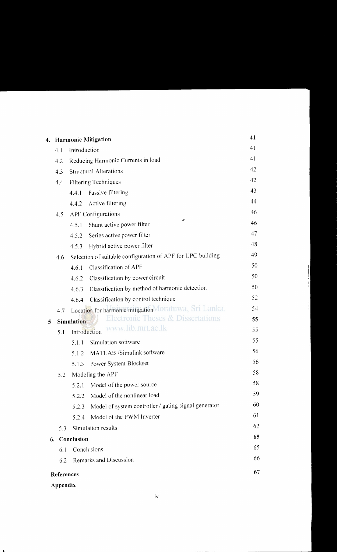| 4. |                                                                   |                               | <b>Harmonic Mitigation</b>                                  | 41 |
|----|-------------------------------------------------------------------|-------------------------------|-------------------------------------------------------------|----|
|    | 4.1                                                               | Introduction                  |                                                             | 41 |
|    | 4.2                                                               |                               | Reducing Harmonic Currents in load                          | 41 |
|    | 4.3                                                               | <b>Structural Alterations</b> |                                                             | 42 |
|    | 4.4                                                               | <b>Filtering Techniques</b>   |                                                             | 42 |
|    |                                                                   | 4.4.1                         | Passive filtering                                           | 43 |
|    |                                                                   | 4.4.2                         | Active filtering                                            | 44 |
|    | 4.5                                                               |                               | <b>APF Configurations</b>                                   | 46 |
|    |                                                                   | 4.5.1                         | z<br>Shunt active power filter                              | 46 |
|    |                                                                   | 4.5.2                         | Series active power filter                                  | 47 |
|    |                                                                   | 4.5.3                         | Hybrid active power filter                                  | 48 |
|    | 4.6                                                               |                               | Selection of suitable configuration of APF for UPC building | 49 |
|    |                                                                   | 4.6.1                         | Classification of APF                                       | 50 |
|    |                                                                   | 4.6.2                         | Classification by power circuit                             | 50 |
|    |                                                                   | 4.6.3                         | Classification by method of harmonic detection              | 50 |
|    |                                                                   | 4.6.4                         | Classification by control technique                         | 52 |
|    | 4.7                                                               |                               | Location for harmonic mitigation Moratuwa, Sri Lanka.       | 54 |
| 5  | <b>Electronic Theses &amp; Dissertations</b><br><b>Simulation</b> |                               |                                                             | 55 |
|    | 5.1                                                               |                               | www.lib.mrt.ac.lk<br>Introduction                           | 55 |
|    |                                                                   | 5.1.1                         | Simulation software                                         | 55 |
|    |                                                                   | 5.1.2                         | MATLAB /Simulink software                                   | 56 |
|    |                                                                   | 5.1.3                         | Power System Blockset                                       | 56 |
|    | 5.2                                                               |                               | Modeling the APF                                            | 58 |
|    |                                                                   | 5.2.1                         | Model of the power source                                   | 58 |
|    |                                                                   | 5.2.2                         | Model of the nonlinear load                                 | 59 |
|    |                                                                   | 5.2.3                         | Model of system controller / gating signal generator        | 60 |
|    |                                                                   | 5.2.4                         | Model of the PWM Inverter                                   | 61 |
|    | 5.3                                                               |                               | Simulation results                                          | 62 |
| 6. |                                                                   | Conclusion                    |                                                             | 65 |
|    | 6.1                                                               | Conclusions                   |                                                             | 65 |
|    | 6.2                                                               | Remarks and Discussion        |                                                             | 66 |
|    | References                                                        |                               |                                                             | 67 |
|    |                                                                   |                               |                                                             |    |

#### **Appendix**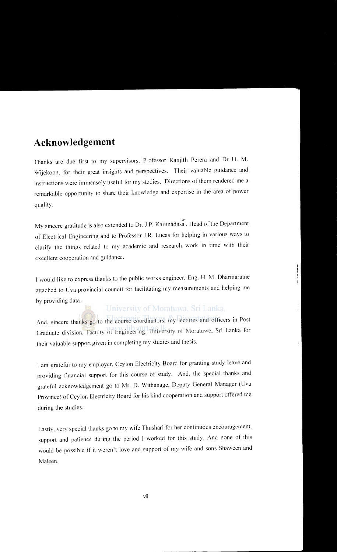### **Acknowledgement**

Thanks are due first to my supervisors, Professor Ranjith Perera and Dr H. M. Wijekoon, for their great insights and perspectives. Their valuable guidance and instructions were immensely useful for my studies. Directions of them rendered me a remarkable opportunity to share their knowledge and expertise in the area of power quality.

My sincere gratitude is also extended to Dr. J.P. Karunadasa, Head of the Department of Electrical Engineering and to Professor J.R. Lucas for helping in various ways to clarify the things related to my academic and research work in time with their excellent cooperation and guidance.

I would like to express thanks to the public works engineer, Eng. H. M. Dharmaratne attached to Uva provincial council for facilitating my measurements and helping me by providing data.

### University of Moratuwa, Sri Lanka.

 $\begin{array}{c} \begin{array}{c} \begin{array}{c} \begin{array}{c} \end{array} \\ \end{array} \end{array} \end{array}$ 

And. sincere thanks go to the course coordinators, my lectures and officers in Post Graduate division, Faculty of Engineering, University of Moratuwe. Sri Lanka for their valuable support given in completing my studies and thesis.

I am grateful to my employer, Ceylon Electricity Board for granting study leave and providing financial support for this course of study. And. the special thanks and grateful acknowledgement go to Mr. D. Withanage, Deputy General Manager (Uva Province) of Ceylon Electricity Board for his kind cooperation and support offered me during the studies.

Lastly. very special thanks go to my wife Thushari for her continuous encouragement support and patience during the period I worked for this study. And none of this would be possible if it weren't love and support of my wife and sons Shaween and Maleen.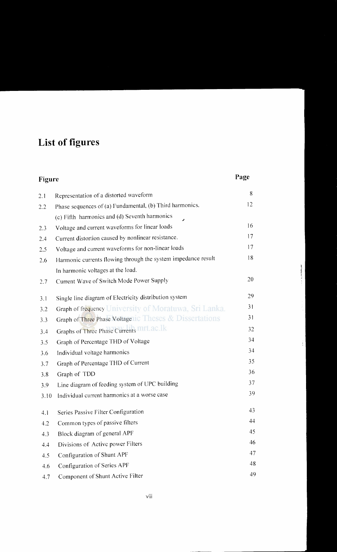# **List of figures**

| Figure |                                                               | Page |
|--------|---------------------------------------------------------------|------|
| 2.1    | Representation of a distorted waveform                        | 8    |
| 2.2    | Phase sequences of (a) Fundamental, (b) Third harmonics,      | 12   |
|        | (c) Fifth harmonics and (d) Seventh harmonics                 |      |
| 2.3    | Voltage and current waveforms for linear loads                | 16   |
| 2.4    | Current distortion caused by nonlinear resistance.            | 17   |
| 2.5    | Voltage and current waveforms for non-linear loads            | 17   |
| 2.6    | Harmonic currents flowing through the system impedance result | 18   |
|        | In harmonic voltages at the load.                             |      |
| 2.7    | Current Wave of Switch Mode Power Supply                      | 20   |
| 3.1    | Single line diagram of Electricity distribution system        | 29   |
| 3.2    | Graph of frequency University of Moratuwa, Sri Lanka.         | 31   |
| 3.3    | Graph of Three Phase Voltagetic Theses & Dissertations        | 31   |
| 3.4    | Graphs of Three Phase Currents mit.ac.lk                      | 32   |
| 3.5    | Graph of Percentage THD of Voltage                            | 34   |
| 3.6    | Individual voltage harmonics                                  | 34   |
| 3.7    | Graph of Percentage THD of Current                            | 35   |
| 3.8    | Graph of TDD                                                  | 36   |
| 3.9    | Line diagram of feeding system of UPC building                | 37   |
| 3.10   | Individual current harmonics at a worse case                  | 39   |
| 4.1    | Series Passive Filter Configuration                           | 43   |
| 4.2    | Common types of passive filters                               | 44   |
| 4.3    | Block diagram of general APF                                  | 45   |
| 4.4    | Divisions of Active power Filters                             | 46   |
| 4.5    | Configuration of Shunt APF                                    | 47   |
| 4.6    | Configuration of Series APF                                   | 48   |
| 4.7    | Component of Shunt Active Filter                              | 49   |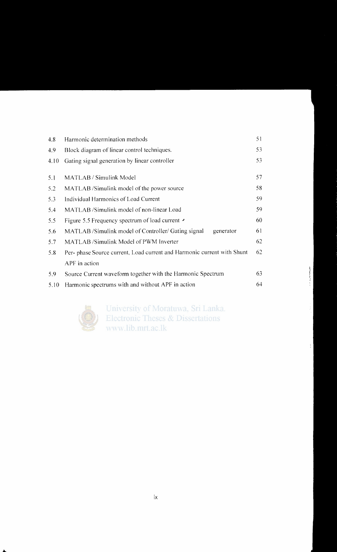| 4.8  | Harmonic determination methods                                          | 51  |
|------|-------------------------------------------------------------------------|-----|
| 4.9  | Block diagram of linear control techniques.                             | 53  |
| 4.10 | Gating signal generation by linear controller                           | 53  |
| 5.1  | MATLAB / Simulink Model                                                 | 57  |
| 5.2  | MATLAB /Simulink model of the power source                              | 58  |
| 5.3  | Individual Harmonics of Load Current                                    | 59. |
| 5.4  | MATLAB /Simulink model of non-linear Load                               | 59  |
| 5.5  | Figure 5.5 Frequency spectrum of load current ►                         | 60  |
| 5.6  | MATLAB /Simulink model of Controller/ Gating signal<br>generator        | 61  |
| 5.7  | MATLAB /Simulink Model of PWM Inverter                                  | 62  |
| 5.8  | Per- phase Source current, Load current and Harmonic current with Shunt | 62  |
|      | APF in action                                                           |     |
| 5.9  | Source Current waveform together with the Harmonic Spectrum             |     |
| 5.10 | Harmonic spectrums with and without APF in action                       | 64  |



University of Moratuwa, Sri Lanka. **Electronic Theses & Dissertations** www.lib.mrt.ac.lk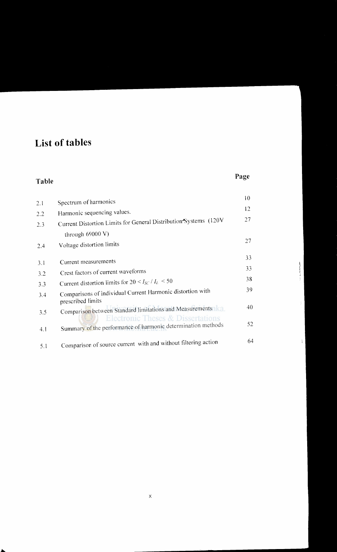# **List of tables**

### **Table**

### **Page**

|            | Spectrum of harmonics                                                                                        | 10 |
|------------|--------------------------------------------------------------------------------------------------------------|----|
| 2.1<br>2.2 | Harmonic sequencing values.                                                                                  | 12 |
| 2.3        | Current Distortion Limits for General Distribution Systems (120V)                                            | 27 |
|            | through 69000 V)                                                                                             |    |
| 2.4        | Voltage distortion limits                                                                                    | 27 |
|            |                                                                                                              | 33 |
| 3.1        | Current measurements                                                                                         | 33 |
| 3.2        | Crest factors of current waveforms                                                                           |    |
| 3.3        | Current distortion limits for $20 < I_{SC}/I_L < 50$                                                         | 38 |
| 3.4        | Comparisons of individual Current Harmonic distortion with<br>prescribed limits                              | 39 |
| 3.5        | Comparison between Standard limitations and Measurements                                                     | 40 |
| 4.1        | <b>Electronic Theses &amp; Dissertations</b><br>Summary of the performance of harmonic determination methods | 52 |
| 5.1        | Comparison of source current with and without filtering action                                               | 64 |